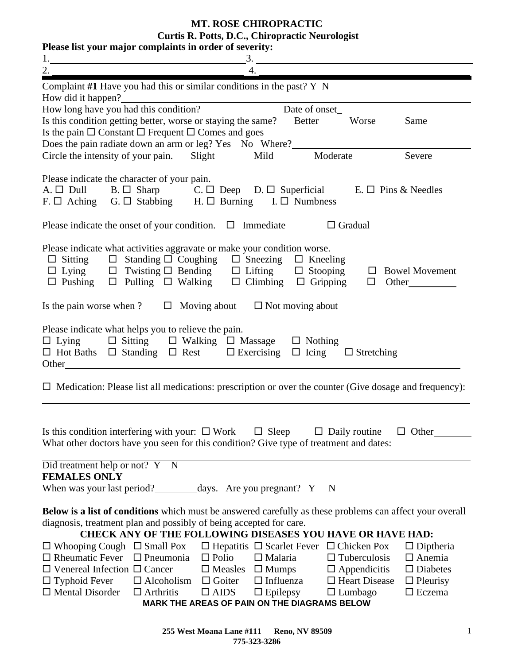**MT. ROSE CHIROPRACTIC**

**Curtis R. Potts, D.C., Chiropractic Neurologist**

| Please list your major complaints in order of severity:                                                                                                                                                                                                                                                                                                                                                                                                                                                                                                                                                                                                                                                                                                                                                                                                                                                                           |  |  |  |  |  |
|-----------------------------------------------------------------------------------------------------------------------------------------------------------------------------------------------------------------------------------------------------------------------------------------------------------------------------------------------------------------------------------------------------------------------------------------------------------------------------------------------------------------------------------------------------------------------------------------------------------------------------------------------------------------------------------------------------------------------------------------------------------------------------------------------------------------------------------------------------------------------------------------------------------------------------------|--|--|--|--|--|
| 1. $\frac{3.}{4.}$                                                                                                                                                                                                                                                                                                                                                                                                                                                                                                                                                                                                                                                                                                                                                                                                                                                                                                                |  |  |  |  |  |
| Complaint $#1$ Have you had this or similar conditions in the past? Y N                                                                                                                                                                                                                                                                                                                                                                                                                                                                                                                                                                                                                                                                                                                                                                                                                                                           |  |  |  |  |  |
| How did it happen?<br>How long have you had this condition?<br><u>Date of onset</u>                                                                                                                                                                                                                                                                                                                                                                                                                                                                                                                                                                                                                                                                                                                                                                                                                                               |  |  |  |  |  |
| Is this condition getting better, worse or staying the same? Better<br>Worse<br>Same                                                                                                                                                                                                                                                                                                                                                                                                                                                                                                                                                                                                                                                                                                                                                                                                                                              |  |  |  |  |  |
| Is the pain $\Box$ Constant $\Box$ Frequent $\Box$ Comes and goes                                                                                                                                                                                                                                                                                                                                                                                                                                                                                                                                                                                                                                                                                                                                                                                                                                                                 |  |  |  |  |  |
| Does the pain radiate down an arm or leg? Yes No Where?__________________________                                                                                                                                                                                                                                                                                                                                                                                                                                                                                                                                                                                                                                                                                                                                                                                                                                                 |  |  |  |  |  |
| Circle the intensity of your pain. Slight Mild Moderate<br>Severe                                                                                                                                                                                                                                                                                                                                                                                                                                                                                                                                                                                                                                                                                                                                                                                                                                                                 |  |  |  |  |  |
| Please indicate the character of your pain.<br>A. □ Dull B. □ Sharp C. □ Deep D. □ Superficial E. □ Pins & Needles<br>F. $\Box$ Aching G. $\Box$ Stabbing H. $\Box$ Burning I. $\Box$ Numbness                                                                                                                                                                                                                                                                                                                                                                                                                                                                                                                                                                                                                                                                                                                                    |  |  |  |  |  |
| Please indicate the onset of your condition. $\Box$ Immediate<br>$\Box$ Gradual                                                                                                                                                                                                                                                                                                                                                                                                                                                                                                                                                                                                                                                                                                                                                                                                                                                   |  |  |  |  |  |
| Please indicate what activities aggravate or make your condition worse.<br>$\Box$ Sitting $\Box$ Standing $\Box$ Coughing $\Box$ Sneezing $\Box$ Kneeling                                                                                                                                                                                                                                                                                                                                                                                                                                                                                                                                                                                                                                                                                                                                                                         |  |  |  |  |  |
| Is the pain worse when ? $\Box$ Moving about $\Box$ Not moving about                                                                                                                                                                                                                                                                                                                                                                                                                                                                                                                                                                                                                                                                                                                                                                                                                                                              |  |  |  |  |  |
| Please indicate what helps you to relieve the pain.<br>$\Box$ Lying $\Box$ Sitting $\Box$ Walking $\Box$ Massage $\Box$ Nothing<br>$\Box$ Hot Baths $\Box$ Standing $\Box$ Rest $\Box$ Exercising $\Box$ Icing $\Box$ Stretching                                                                                                                                                                                                                                                                                                                                                                                                                                                                                                                                                                                                                                                                                                  |  |  |  |  |  |
| $\Box$ Medication: Please list all medications: prescription or over the counter (Give dosage and frequency):                                                                                                                                                                                                                                                                                                                                                                                                                                                                                                                                                                                                                                                                                                                                                                                                                     |  |  |  |  |  |
| Is this condition interfering with your: $\Box$ Work $\Box$ Sleep<br>$\Box$ Daily routine<br>$\Box$ Other<br>What other doctors have you seen for this condition? Give type of treatment and dates:                                                                                                                                                                                                                                                                                                                                                                                                                                                                                                                                                                                                                                                                                                                               |  |  |  |  |  |
| Did treatment help or not? Y N                                                                                                                                                                                                                                                                                                                                                                                                                                                                                                                                                                                                                                                                                                                                                                                                                                                                                                    |  |  |  |  |  |
| <b>FEMALES ONLY</b>                                                                                                                                                                                                                                                                                                                                                                                                                                                                                                                                                                                                                                                                                                                                                                                                                                                                                                               |  |  |  |  |  |
| When was your last period?___________days. Are you pregnant? Y N                                                                                                                                                                                                                                                                                                                                                                                                                                                                                                                                                                                                                                                                                                                                                                                                                                                                  |  |  |  |  |  |
| Below is a list of conditions which must be answered carefully as these problems can affect your overall<br>diagnosis, treatment plan and possibly of being accepted for care.<br><b>CHECK ANY OF THE FOLLOWING DISEASES YOU HAVE OR HAVE HAD:</b><br>$\Box$ Whooping Cough $\Box$ Small Pox<br>$\Box$ Hepatitis $\Box$ Scarlet Fever $\Box$ Chicken Pox<br>$\Box$ Diptheria<br>$\Box$ Rheumatic Fever<br>$\Box$ Pneumonia<br>$\Box$ Polio<br>$\Box$ Malaria<br>$\Box$ Tuberculosis<br>$\Box$ Anemia<br>$\Box$ Venereal Infection $\Box$ Cancer<br>$\square$ Measles $\square$ Mumps $\square$ Appendicitis<br>$\square$ Diabetes<br>$\Box$ Influenza<br>$\Box$ Typhoid Fever<br>$\Box$ Alcoholism $\Box$ Goiter<br>$\Box$ Heart Disease<br>$\Box$ Pleurisy<br>$\Box$ Mental Disorder<br>$\Box$ Arthritis<br>$\square$ AIDS<br>$\Box$ Epilepsy<br>$\Box$ Lumbago<br>$\Box$ Eczema<br>MARK THE AREAS OF PAIN ON THE DIAGRAMS BELOW |  |  |  |  |  |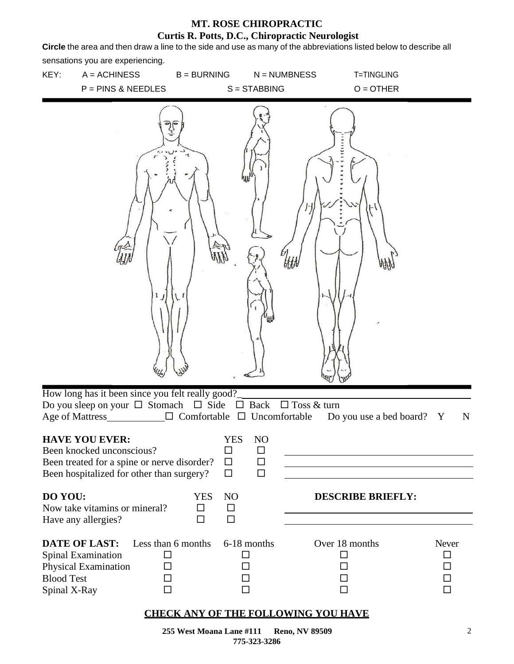**Circle** the area and then draw a line to the side and use as many of the abbreviations listed below to describe all sensations you are experiencing.



#### **CHECK ANY OF THE FOLLOWING YOU HAVE**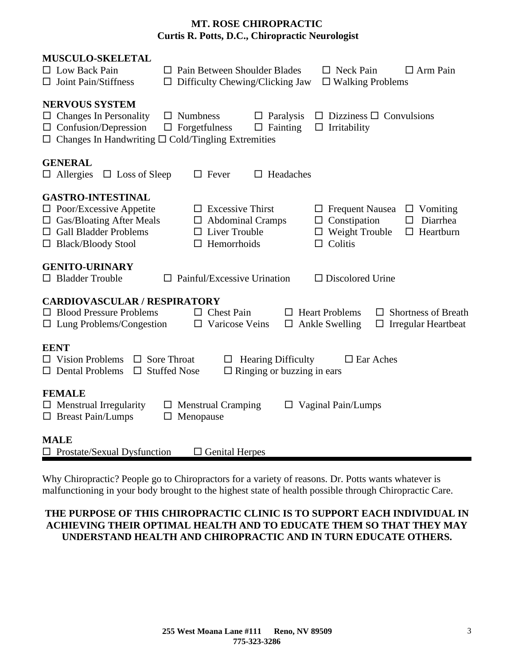| <b>MUSCULO-SKELETAL</b><br>$\Box$ Low Back Pain<br>$\Box$ Joint Pain/Stiffness                                                                             |                                           | $\Box$ Pain Between Shoulder Blades<br>$\Box$ Difficulty Chewing/Clicking Jaw                          |                                                                | $\Box$ Neck Pain<br>$\Box$ Walking Problems                                              | $\Box$ Arm Pain                                                               |
|------------------------------------------------------------------------------------------------------------------------------------------------------------|-------------------------------------------|--------------------------------------------------------------------------------------------------------|----------------------------------------------------------------|------------------------------------------------------------------------------------------|-------------------------------------------------------------------------------|
| <b>NERVOUS SYSTEM</b><br>$\Box$ Changes In Personality<br>$\Box$ Confusion/Depression<br>$\Box$ Changes In Handwriting $\Box$ Cold/Tingling Extremities    |                                           | $\Box$ Numbness<br>$\Box$ Forgetfulness                                                                | $\Box$ Paralysis<br>$\Box$ Fainting                            | $\Box$ Irritability                                                                      | $\Box$ Dizziness $\Box$ Convulsions                                           |
| <b>GENERAL</b><br>$\Box$ Allergies<br>$\Box$ Loss of Sleep                                                                                                 |                                           | $\Box$ Fever                                                                                           | $\Box$ Headaches                                               |                                                                                          |                                                                               |
| <b>GASTRO-INTESTINAL</b><br>$\Box$ Poor/Excessive Appetite<br>$\Box$ Gas/Bloating After Meals<br>$\Box$ Gall Bladder Problems<br>$\Box$ Black/Bloody Stool |                                           | <b>Excessive Thirst</b><br>$\Box$<br><b>Abdominal Cramps</b><br>Liver Trouble<br>Hemorrhoids<br>$\Box$ |                                                                | $\Box$ Frequent Nausea<br>$\Box$ Constipation<br>$\Box$ Weight Trouble<br>$\Box$ Colitis | $\Box$ Vomiting<br>Diarrhea<br>ப<br>$\Box$ Heartburn                          |
| <b>GENITO-URINARY</b><br>$\Box$ Bladder Trouble                                                                                                            |                                           | $\Box$ Painful/Excessive Urination                                                                     |                                                                | $\Box$ Discolored Urine                                                                  |                                                                               |
| <b>CARDIOVASCULAR / RESPIRATORY</b><br>$\Box$ Blood Pressure Problems<br>$\Box$ Lung Problems/Congestion                                                   |                                           | $\Box$ Chest Pain<br>$\square$ Varicose Veins                                                          | ப                                                              | <b>Heart Problems</b><br>$\Box$ Ankle Swelling                                           | <b>Shortness of Breath</b><br>$\perp$<br><b>Irregular Heartbeat</b><br>$\Box$ |
| <b>EENT</b><br>$\Box$ Vision Problems<br>$\Box$ Dental Problems                                                                                            | $\Box$ Sore Throat<br>$\Box$ Stuffed Nose | ப                                                                                                      | <b>Hearing Difficulty</b><br>$\Box$ Ringing or buzzing in ears | $\Box$ Ear Aches                                                                         |                                                                               |
| <b>FEMALE</b><br>$\Box$ Menstrual Irregularity<br>$\Box$ Breast Pain/Lumps                                                                                 | ப                                         | $\Box$ Menstrual Cramping<br>Menopause                                                                 |                                                                | Vaginal Pain/Lumps                                                                       |                                                                               |
| <b>MALE</b><br>$\Box$ Prostate/Sexual Dysfunction                                                                                                          |                                           | $\Box$ Genital Herpes                                                                                  |                                                                |                                                                                          |                                                                               |

Why Chiropractic? People go to Chiropractors for a variety of reasons. Dr. Potts wants whatever is malfunctioning in your body brought to the highest state of health possible through Chiropractic Care.

#### **THE PURPOSE OF THIS CHIROPRACTIC CLINIC IS TO SUPPORT EACH INDIVIDUAL IN ACHIEVING THEIR OPTIMAL HEALTH AND TO EDUCATE THEM SO THAT THEY MAY UNDERSTAND HEALTH AND CHIROPRACTIC AND IN TURN EDUCATE OTHERS.**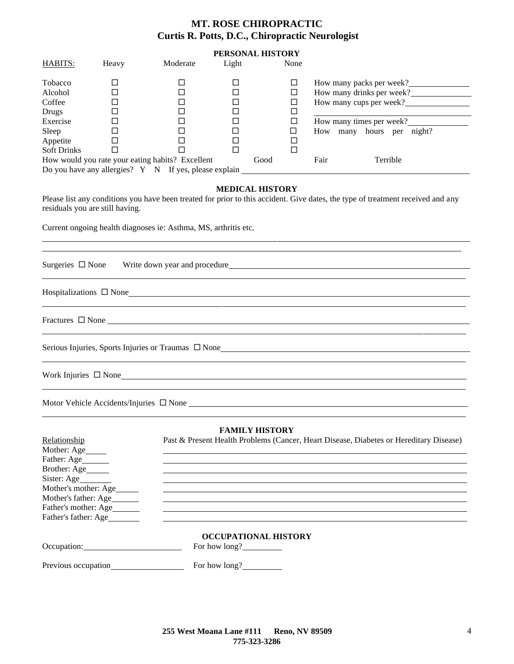## **PERSONAL HISTORY**

| HABITS:                                               | Heavy | Moderate | Light |      | None     |                           |                          |  |
|-------------------------------------------------------|-------|----------|-------|------|----------|---------------------------|--------------------------|--|
| Tobacco                                               |       |          |       |      | ⊔        |                           | How many packs per week? |  |
| Alcohol                                               |       |          |       |      | ⊔        | How many drinks per week? |                          |  |
| Coffee                                                |       |          |       |      | ⊔        | How many cups per week?   |                          |  |
| Drugs                                                 |       |          |       |      |          |                           |                          |  |
| Exercise                                              |       |          |       |      | $\sqcup$ |                           | How many times per week? |  |
| Sleep                                                 |       |          |       |      |          | How<br>many               | hours<br>night?<br>per   |  |
| Appetite                                              |       |          |       |      |          |                           |                          |  |
| <b>Soft Drinks</b>                                    |       |          |       |      | $\Box$   |                           |                          |  |
| How would you rate your eating habits? Excellent      |       | Good     |       | Fair | Terrible |                           |                          |  |
| Do you have any allergies? Y N If yes, please explain |       |          |       |      |          |                           |                          |  |

#### **MEDICAL HISTORY**

Please list any conditions you have been treated for prior to this accident. Give dates, the type of treatment received and any residuals you are still having.

Current ongoing health diagnoses ie: Asthma, MS, arthritis etc.

| Surgeries □ None Write down year and procedure<br><u>Universe of the set of the set of the set of the set of the set of the set of the set of the set of the set of the set of the set of the set of the set of the set of the se</u> |
|---------------------------------------------------------------------------------------------------------------------------------------------------------------------------------------------------------------------------------------|
| $\Box$ None                                                                                                                                                                                                                           |
| <u> 1989 - Andrea Santa Andrea Andrea Andrea Andrea Andrea Andrea Andrea Andrea Andrea Andrea Andrea Andrea Andr</u>                                                                                                                  |
| Fractures $\Box$ None                                                                                                                                                                                                                 |
|                                                                                                                                                                                                                                       |
|                                                                                                                                                                                                                                       |
| Work Injuries $\Box$ None                                                                                                                                                                                                             |
| ,我们也不能会在这里,我们也不能会在这里,我们也不能会在这里,我们也不能会在这里,我们也不能会在这里,我们也不能会在这里,我们也不能会不能会不能会。""我们,我们                                                                                                                                                     |
| Motor Vehicle Accidents/Injuries $\Box$ None                                                                                                                                                                                          |

|                              | <b>FAMILY HISTORY</b>                                                                  |
|------------------------------|----------------------------------------------------------------------------------------|
| Relationship                 | Past & Present Health Problems (Cancer, Heart Disease, Diabetes or Hereditary Disease) |
| Mother: Age                  |                                                                                        |
| Father: Age______            |                                                                                        |
| Brother: Age                 |                                                                                        |
| Sister: Age                  |                                                                                        |
| Mother's mother: Age_______  |                                                                                        |
| Mother's father: Age         |                                                                                        |
| Father's mother: Age________ |                                                                                        |
| Father's father: Age         |                                                                                        |
|                              | <b>OCCUPATIONAL HISTORY</b>                                                            |
| Occupation:                  | For how long?                                                                          |
|                              | For how long?                                                                          |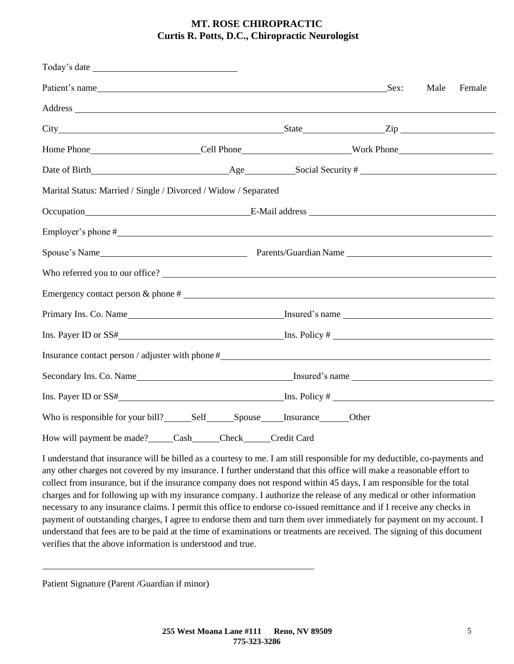| Patient's name Sex:                                                                                                                                                                                                            |                                                                                                                                                                                                                                |  |  |  | Male | Female |
|--------------------------------------------------------------------------------------------------------------------------------------------------------------------------------------------------------------------------------|--------------------------------------------------------------------------------------------------------------------------------------------------------------------------------------------------------------------------------|--|--|--|------|--------|
| Address and the contract of the contract of the contract of the contract of the contract of the contract of the contract of the contract of the contract of the contract of the contract of the contract of the contract of th |                                                                                                                                                                                                                                |  |  |  |      |        |
|                                                                                                                                                                                                                                |                                                                                                                                                                                                                                |  |  |  |      |        |
|                                                                                                                                                                                                                                |                                                                                                                                                                                                                                |  |  |  |      |        |
|                                                                                                                                                                                                                                |                                                                                                                                                                                                                                |  |  |  |      |        |
| Marital Status: Married / Single / Divorced / Widow / Separated                                                                                                                                                                |                                                                                                                                                                                                                                |  |  |  |      |        |
|                                                                                                                                                                                                                                | Occupation E-Mail address E-Mail address E-Mail and E-Mail and E-Mail and E-Mail and E-Mail and E-Mail and E-Mail and E-Mail and E-Mail and E-Mail and E-Mail and E-Mail and E-Mail and E-Mail and E-Mail and E-Mail and E-Mai |  |  |  |      |        |
|                                                                                                                                                                                                                                |                                                                                                                                                                                                                                |  |  |  |      |        |
|                                                                                                                                                                                                                                |                                                                                                                                                                                                                                |  |  |  |      |        |
|                                                                                                                                                                                                                                |                                                                                                                                                                                                                                |  |  |  |      |        |
|                                                                                                                                                                                                                                |                                                                                                                                                                                                                                |  |  |  |      |        |
|                                                                                                                                                                                                                                |                                                                                                                                                                                                                                |  |  |  |      |        |
|                                                                                                                                                                                                                                |                                                                                                                                                                                                                                |  |  |  |      |        |
| Insurance contact person / adjuster with phone #_________________________________                                                                                                                                              |                                                                                                                                                                                                                                |  |  |  |      |        |
|                                                                                                                                                                                                                                |                                                                                                                                                                                                                                |  |  |  |      |        |
|                                                                                                                                                                                                                                |                                                                                                                                                                                                                                |  |  |  |      |        |
|                                                                                                                                                                                                                                |                                                                                                                                                                                                                                |  |  |  |      |        |
| How will payment be made? Cash Check Credit Card                                                                                                                                                                               |                                                                                                                                                                                                                                |  |  |  |      |        |

I understand that insurance will be billed as a courtesy to me. I am still responsible for my deductible, co-payments and any other charges not covered by my insurance. I further understand that this office will make a reasonable effort to collect from insurance, but if the insurance company does not respond within 45 days, I am responsible for the total charges and for following up with my insurance company. I authorize the release of any medical or other information necessary to any insurance claims. I permit this office to endorse co-issued remittance and if I receive any checks in payment of outstanding charges, I agree to endorse them and turn them over immediately for payment on my account. I understand that fees are to be paid at the time of examinations or treatments are received. The signing of this document verifies that the above information is understood and true.

Patient Signature (Parent /Guardian if minor)